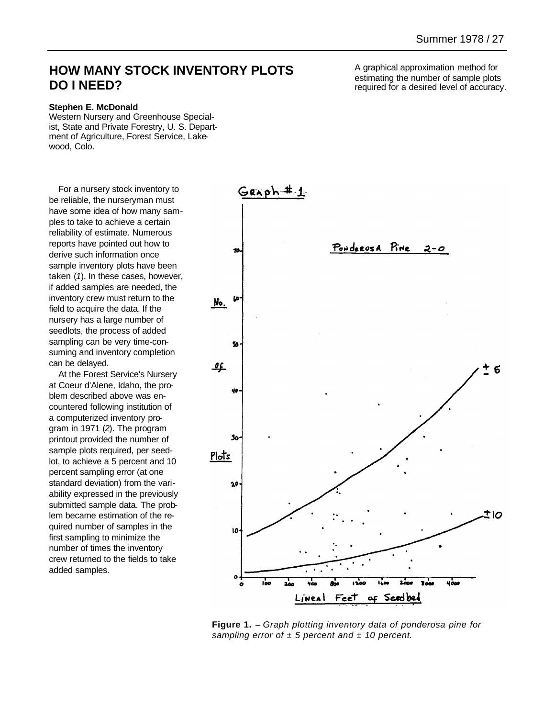## **HOW MANY STOCK INVENTORY PLOTS DO I NEED?**

## **Stephen E. McDonald**

Western Nursery and Greenhouse Specialist, State and Private Forestry, U. S. Department of Agriculture, Forest Service, Lakewood, Colo.

For a nursery stock inventory to be reliable, the nurseryman must have some idea of how many samples to take to achieve a certain reliability of estimate. Numerous reports have pointed out how to derive such information once sample inventory plots have been taken (*1*), In these cases, however, if added samples are needed, the inventory crew must return to the field to acquire the data. If the nursery has a large number of seedlots, the process of added sampling can be very time-consuming and inventory completion can be delayed.

At the Forest Service's Nursery at Coeur d'Alene, Idaho, the problem described above was encountered following institution of a computerized inventory program in 1971 (*2*). The program printout provided the number of sample plots required, per seedlot, to achieve a 5 percent and 10 percent sampling error (at one standard deviation) from the variability expressed in the previously submitted sample data. The problem became estimation of the required number of samples in the first sampling to minimize the number of times the inventory crew returned to the fields to take added samples.

A graphical approximation method for estimating the number of sample plots required for a desired level of accuracy.



**Figure 1.** – *Graph plotting inventory data of ponderosa pine for sampling error of ± 5 percent and ± 10 percent.*